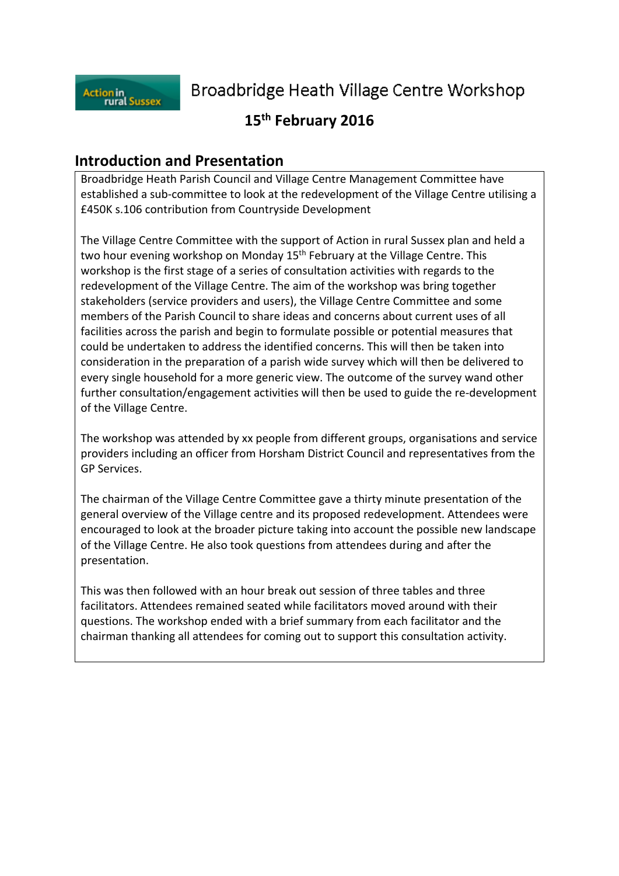

Broadbridge Heath Village Centre Workshop

# **15th February 2016**

## **Introduction and Presentation**

Broadbridge Heath Parish Council and Village Centre Management Committee have established a sub-committee to look at the redevelopment of the Village Centre utilising a £450K s.106 contribution from Countryside Development

The Village Centre Committee with the support of Action in rural Sussex plan and held a two hour evening workshop on Monday 15<sup>th</sup> February at the Village Centre. This workshop is the first stage of a series of consultation activities with regards to the redevelopment of the Village Centre. The aim of the workshop was bring together stakeholders (service providers and users), the Village Centre Committee and some members of the Parish Council to share ideas and concerns about current uses of all facilities across the parish and begin to formulate possible or potential measures that could be undertaken to address the identified concerns. This will then be taken into consideration in the preparation of a parish wide survey which will then be delivered to every single household for a more generic view. The outcome of the survey wand other further consultation/engagement activities will then be used to guide the re-development of the Village Centre.

The workshop was attended by xx people from different groups, organisations and service providers including an officer from Horsham District Council and representatives from the GP Services.

The chairman of the Village Centre Committee gave a thirty minute presentation of the general overview of the Village centre and its proposed redevelopment. Attendees were encouraged to look at the broader picture taking into account the possible new landscape of the Village Centre. He also took questions from attendees during and after the presentation.

This was then followed with an hour break out session of three tables and three facilitators. Attendees remained seated while facilitators moved around with their questions. The workshop ended with a brief summary from each facilitator and the chairman thanking all attendees for coming out to support this consultation activity.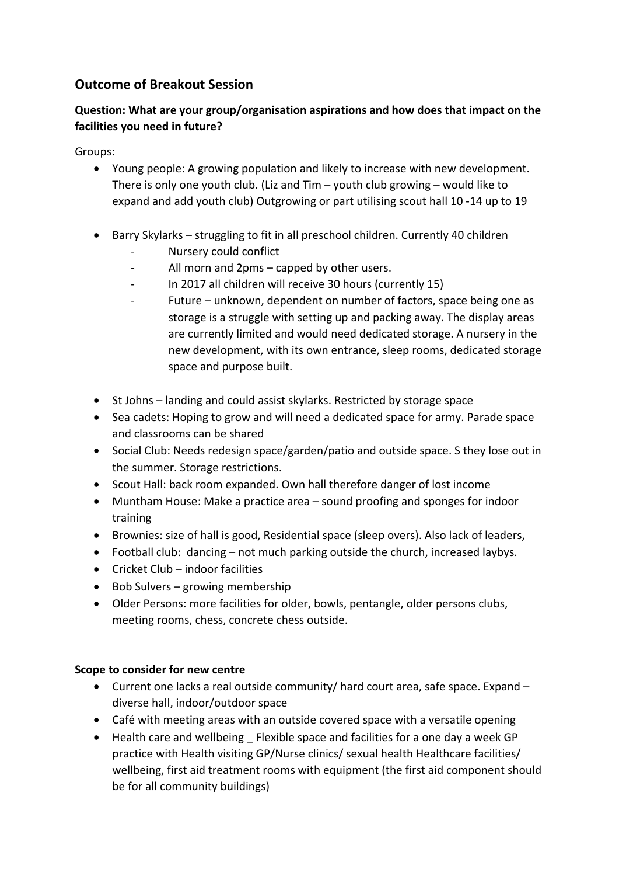## **Outcome of Breakout Session**

## **Question: What are your group/organisation aspirations and how does that impact on the facilities you need in future?**

Groups:

- Young people: A growing population and likely to increase with new development. There is only one youth club. (Liz and Tim – youth club growing – would like to expand and add youth club) Outgrowing or part utilising scout hall 10 -14 up to 19
- Barry Skylarks struggling to fit in all preschool children. Currently 40 children
	- Nursery could conflict
	- All morn and 2pms capped by other users.
	- In 2017 all children will receive 30 hours (currently 15)
	- Future unknown, dependent on number of factors, space being one as storage is a struggle with setting up and packing away. The display areas are currently limited and would need dedicated storage. A nursery in the new development, with its own entrance, sleep rooms, dedicated storage space and purpose built.
- St Johns landing and could assist skylarks. Restricted by storage space
- Sea cadets: Hoping to grow and will need a dedicated space for army. Parade space and classrooms can be shared
- Social Club: Needs redesign space/garden/patio and outside space. S they lose out in the summer. Storage restrictions.
- Scout Hall: back room expanded. Own hall therefore danger of lost income
- Muntham House: Make a practice area sound proofing and sponges for indoor training
- Brownies: size of hall is good, Residential space (sleep overs). Also lack of leaders,
- Football club: dancing not much parking outside the church, increased laybys.
- Cricket Club indoor facilities
- Bob Sulvers growing membership
- Older Persons: more facilities for older, bowls, pentangle, older persons clubs, meeting rooms, chess, concrete chess outside.

## **Scope to consider for new centre**

- Current one lacks a real outside community/ hard court area, safe space. Expand diverse hall, indoor/outdoor space
- Café with meeting areas with an outside covered space with a versatile opening
- Health care and wellbeing Flexible space and facilities for a one day a week GP practice with Health visiting GP/Nurse clinics/ sexual health Healthcare facilities/ wellbeing, first aid treatment rooms with equipment (the first aid component should be for all community buildings)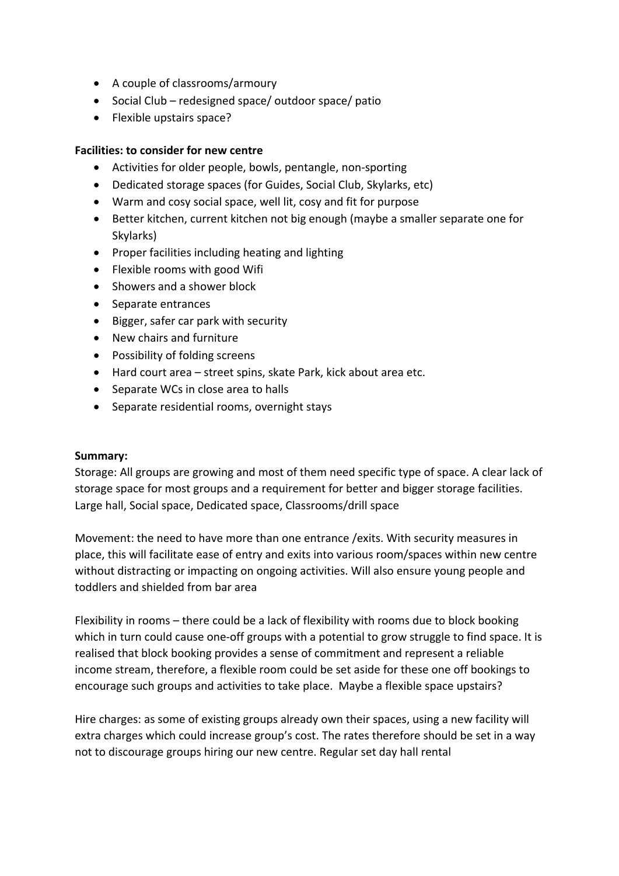- A couple of classrooms/armoury
- Social Club redesigned space/ outdoor space/ patio
- Flexible upstairs space?

#### **Facilities: to consider for new centre**

- Activities for older people, bowls, pentangle, non-sporting
- Dedicated storage spaces (for Guides, Social Club, Skylarks, etc)
- Warm and cosy social space, well lit, cosy and fit for purpose
- Better kitchen, current kitchen not big enough (maybe a smaller separate one for Skylarks)
- Proper facilities including heating and lighting
- Flexible rooms with good Wifi
- Showers and a shower block
- Separate entrances
- Bigger, safer car park with security
- New chairs and furniture
- Possibility of folding screens
- Hard court area street spins, skate Park, kick about area etc.
- Separate WCs in close area to halls
- Separate residential rooms, overnight stays

#### **Summary:**

Storage: All groups are growing and most of them need specific type of space. A clear lack of storage space for most groups and a requirement for better and bigger storage facilities. Large hall, Social space, Dedicated space, Classrooms/drill space

Movement: the need to have more than one entrance /exits. With security measures in place, this will facilitate ease of entry and exits into various room/spaces within new centre without distracting or impacting on ongoing activities. Will also ensure young people and toddlers and shielded from bar area

Flexibility in rooms – there could be a lack of flexibility with rooms due to block booking which in turn could cause one-off groups with a potential to grow struggle to find space. It is realised that block booking provides a sense of commitment and represent a reliable income stream, therefore, a flexible room could be set aside for these one off bookings to encourage such groups and activities to take place. Maybe a flexible space upstairs?

Hire charges: as some of existing groups already own their spaces, using a new facility will extra charges which could increase group's cost. The rates therefore should be set in a way not to discourage groups hiring our new centre. Regular set day hall rental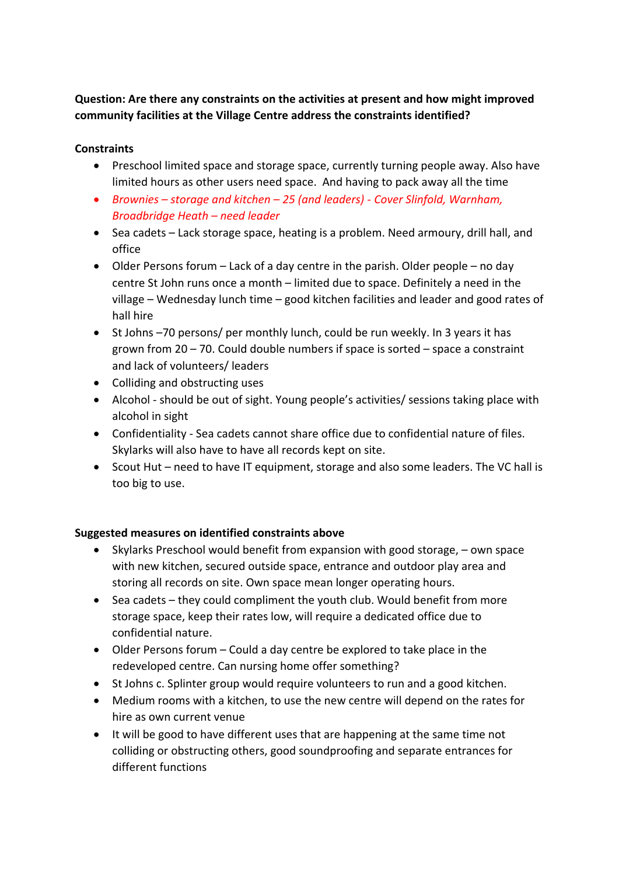**Question: Are there any constraints on the activities at present and how might improved community facilities at the Village Centre address the constraints identified?**

#### **Constraints**

- Preschool limited space and storage space, currently turning people away. Also have limited hours as other users need space. And having to pack away all the time
- *Brownies – storage and kitchen – 25 (and leaders) - Cover Slinfold, Warnham, Broadbridge Heath – need leader*
- Sea cadets Lack storage space, heating is a problem. Need armoury, drill hall, and office
- Older Persons forum Lack of a day centre in the parish. Older people no day centre St John runs once a month – limited due to space. Definitely a need in the village – Wednesday lunch time – good kitchen facilities and leader and good rates of hall hire
- St Johns –70 persons/ per monthly lunch, could be run weekly. In 3 years it has grown from 20 – 70. Could double numbers if space is sorted – space a constraint and lack of volunteers/ leaders
- Colliding and obstructing uses
- Alcohol should be out of sight. Young people's activities/ sessions taking place with alcohol in sight
- Confidentiality Sea cadets cannot share office due to confidential nature of files. Skylarks will also have to have all records kept on site.
- Scout Hut need to have IT equipment, storage and also some leaders. The VC hall is too big to use.

#### **Suggested measures on identified constraints above**

- Skylarks Preschool would benefit from expansion with good storage, own space with new kitchen, secured outside space, entrance and outdoor play area and storing all records on site. Own space mean longer operating hours.
- Sea cadets they could compliment the youth club. Would benefit from more storage space, keep their rates low, will require a dedicated office due to confidential nature.
- Older Persons forum Could a day centre be explored to take place in the redeveloped centre. Can nursing home offer something?
- St Johns c. Splinter group would require volunteers to run and a good kitchen.
- Medium rooms with a kitchen, to use the new centre will depend on the rates for hire as own current venue
- It will be good to have different uses that are happening at the same time not colliding or obstructing others, good soundproofing and separate entrances for different functions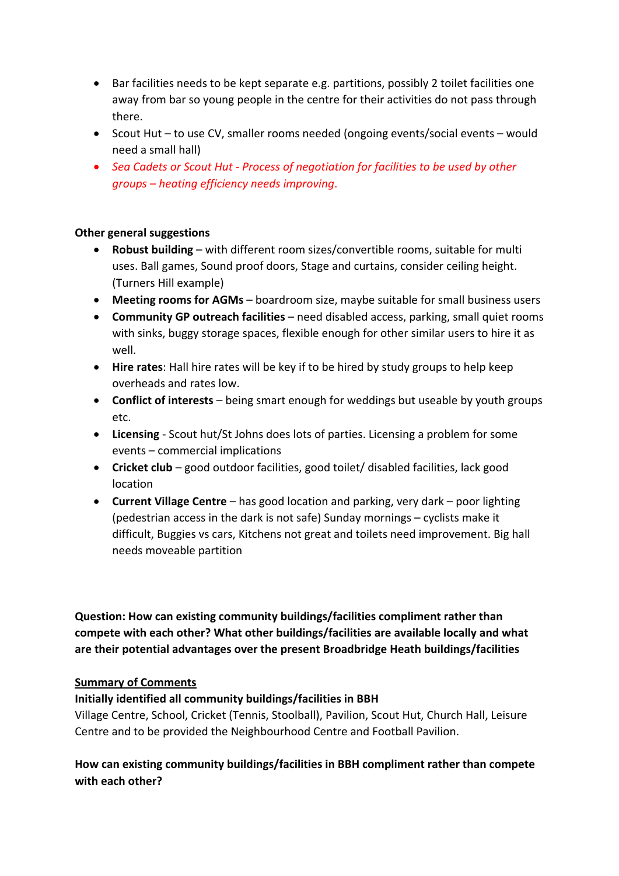- Bar facilities needs to be kept separate e.g. partitions, possibly 2 toilet facilities one away from bar so young people in the centre for their activities do not pass through there.
- Scout Hut to use CV, smaller rooms needed (ongoing events/social events would need a small hall)
- *Sea Cadets or Scout Hut - Process of negotiation for facilities to be used by other groups – heating efficiency needs improving*.

### **Other general suggestions**

- **Robust building** with different room sizes/convertible rooms, suitable for multi uses. Ball games, Sound proof doors, Stage and curtains, consider ceiling height. (Turners Hill example)
- **Meeting rooms for AGMs** boardroom size, maybe suitable for small business users
- **Community GP outreach facilities** need disabled access, parking, small quiet rooms with sinks, buggy storage spaces, flexible enough for other similar users to hire it as well.
- **Hire rates**: Hall hire rates will be key if to be hired by study groups to help keep overheads and rates low.
- **Conflict of interests** being smart enough for weddings but useable by youth groups etc.
- **Licensing**  Scout hut/St Johns does lots of parties. Licensing a problem for some events – commercial implications
- **Cricket club** good outdoor facilities, good toilet/ disabled facilities, lack good location
- **Current Village Centre** has good location and parking, very dark poor lighting (pedestrian access in the dark is not safe) Sunday mornings – cyclists make it difficult, Buggies vs cars, Kitchens not great and toilets need improvement. Big hall needs moveable partition

**Question: How can existing community buildings/facilities compliment rather than compete with each other? What other buildings/facilities are available locally and what are their potential advantages over the present Broadbridge Heath buildings/facilities**

#### **Summary of Comments**

#### **Initially identified all community buildings/facilities in BBH**

Village Centre, School, Cricket (Tennis, Stoolball), Pavilion, Scout Hut, Church Hall, Leisure Centre and to be provided the Neighbourhood Centre and Football Pavilion.

## **How can existing community buildings/facilities in BBH compliment rather than compete with each other?**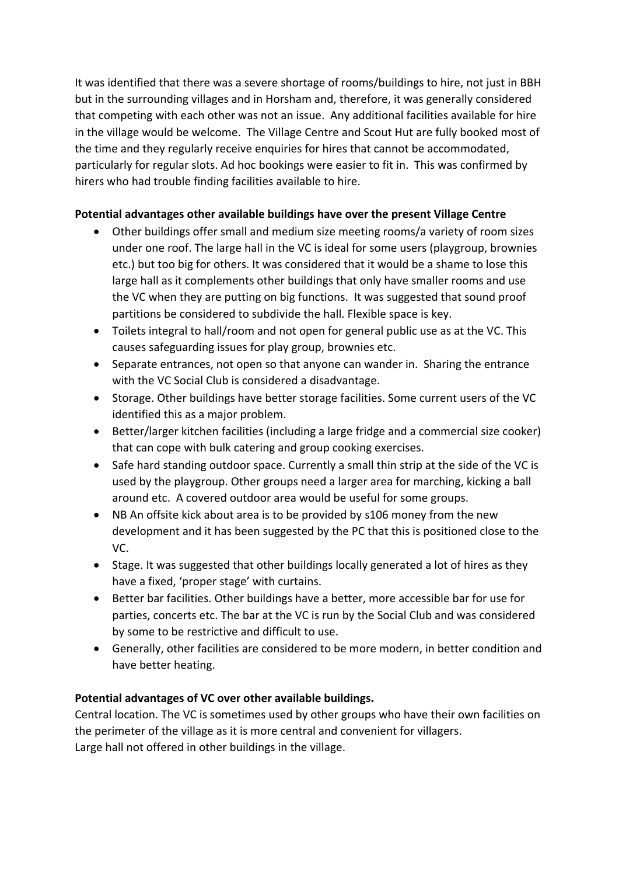It was identified that there was a severe shortage of rooms/buildings to hire, not just in BBH but in the surrounding villages and in Horsham and, therefore, it was generally considered that competing with each other was not an issue. Any additional facilities available for hire in the village would be welcome. The Village Centre and Scout Hut are fully booked most of the time and they regularly receive enquiries for hires that cannot be accommodated, particularly for regular slots. Ad hoc bookings were easier to fit in. This was confirmed by hirers who had trouble finding facilities available to hire.

### **Potential advantages other available buildings have over the present Village Centre**

- Other buildings offer small and medium size meeting rooms/a variety of room sizes under one roof. The large hall in the VC is ideal for some users (playgroup, brownies etc.) but too big for others. It was considered that it would be a shame to lose this large hall as it complements other buildings that only have smaller rooms and use the VC when they are putting on big functions. It was suggested that sound proof partitions be considered to subdivide the hall. Flexible space is key.
- Toilets integral to hall/room and not open for general public use as at the VC. This causes safeguarding issues for play group, brownies etc.
- Separate entrances, not open so that anyone can wander in. Sharing the entrance with the VC Social Club is considered a disadvantage.
- Storage. Other buildings have better storage facilities. Some current users of the VC identified this as a major problem.
- Better/larger kitchen facilities (including a large fridge and a commercial size cooker) that can cope with bulk catering and group cooking exercises.
- Safe hard standing outdoor space. Currently a small thin strip at the side of the VC is used by the playgroup. Other groups need a larger area for marching, kicking a ball around etc. A covered outdoor area would be useful for some groups.
- NB An offsite kick about area is to be provided by s106 money from the new development and it has been suggested by the PC that this is positioned close to the VC.
- Stage. It was suggested that other buildings locally generated a lot of hires as they have a fixed, 'proper stage' with curtains.
- Better bar facilities. Other buildings have a better, more accessible bar for use for parties, concerts etc. The bar at the VC is run by the Social Club and was considered by some to be restrictive and difficult to use.
- Generally, other facilities are considered to be more modern, in better condition and have better heating.

#### **Potential advantages of VC over other available buildings.**

Central location. The VC is sometimes used by other groups who have their own facilities on the perimeter of the village as it is more central and convenient for villagers. Large hall not offered in other buildings in the village.